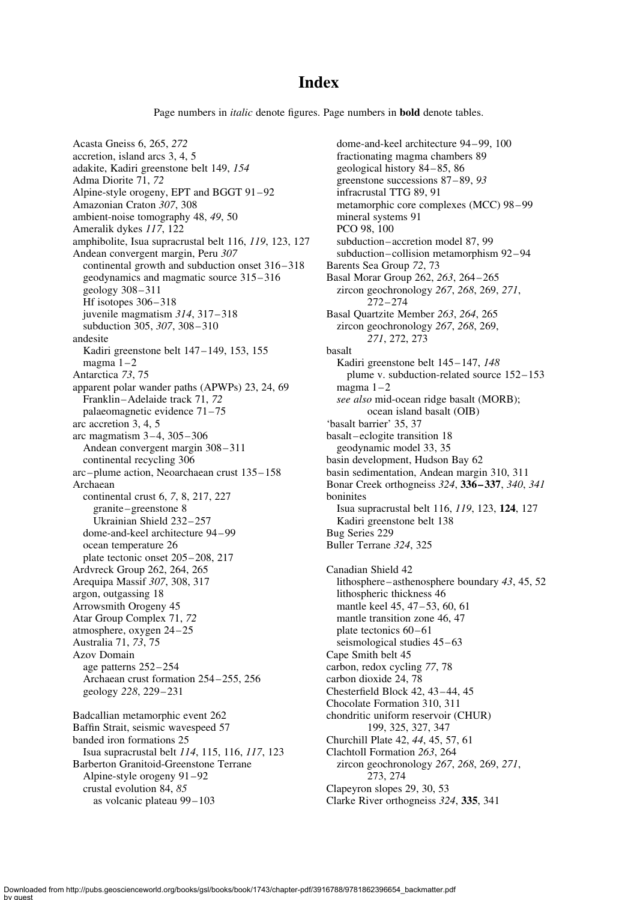## **Index**

Page numbers in *italic* denote figures. Page numbers in **bold** denote tables.

Acasta Gneiss 6, 265, 272 accretion, island arcs 3, 4, 5 adakite, Kadiri greenstone belt 149, 154 Adma Diorite 71, 72 Alpine-style orogeny, EPT and BGGT 91 –92 Amazonian Craton 307, 308 ambient-noise tomography 48, 49, 50 Ameralik dykes 117, 122 amphibolite, Isua supracrustal belt 116, 119, 123, 127 Andean convergent margin, Peru 307 continental growth and subduction onset  $316 - 318$ geodynamics and magmatic source 315 – 316 geology 308 – 311 Hf isotopes  $306 - 318$ juvenile magmatism 314, 317-318 subduction 305, 307, 308-310 andesite Kadiri greenstone belt 147 – 149, 153, 155 magma  $1 - 2$ Antarctica 73, 75 apparent polar wander paths (APWPs) 23, 24, 69 Franklin –Adelaide track 71, 72 palaeomagnetic evidence 71– 75 arc accretion 3, 4, 5 arc magmatism 3 – 4, 305 – 306 Andean convergent margin 308 – 311 continental recycling 306 arc – plume action, Neoarchaean crust 135 – 158 Archaean continental crust 6, 7, 8, 217, 227 granite –greenstone 8 Ukrainian Shield 232 – 257 dome-and-keel architecture 94 – 99 ocean temperature 26 plate tectonic onset 205 – 208, 217 Ardvreck Group 262, 264, 265 Arequipa Massif 307, 308, 317 argon, outgassing 18 Arrowsmith Orogeny 45 Atar Group Complex 71, 72 atmosphere, oxygen 24 – 25 Australia 71, 73, 75 Azov Domain age patterns 252 – 254 Archaean crust formation 254 – 255, 256 geology 228, 229 – 231 Badcallian metamorphic event 262 Baffin Strait, seismic wavespeed 57 banded iron formations 25 Isua supracrustal belt 114, 115, 116, 117, 123

Barberton Granitoid-Greenstone Terrane Alpine-style orogeny 91 – 92 crustal evolution 84, 85 as volcanic plateau 99 – 103

dome-and-keel architecture 94 – 99, 100 fractionating magma chambers 89 geological history 84 – 85, 86 greenstone successions 87 – 89, 93 infracrustal TTG 89, 91 metamorphic core complexes (MCC) 98 – 99 mineral systems 91 PCO 98, 100 subduction–accretion model 87, 99 subduction–collision metamorphism 92 – 94 Barents Sea Group 72, 73 Basal Morar Group 262, 263, 264 – 265 zircon geochronology 267, 268, 269, 271, 272 – 274 Basal Quartzite Member 263, 264, 265 zircon geochronology 267, 268, 269, 271, 272, 273 basalt Kadiri greenstone belt 145-147, 148 plume v. subduction-related source 152– 153 magma  $1 - 2$ see also mid-ocean ridge basalt (MORB); ocean island basalt (OIB) 'basalt barrier' 35, 37 basalt –eclogite transition 18 geodynamic model 33, 35 basin development, Hudson Bay 62 basin sedimentation, Andean margin 310, 311 Bonar Creek orthogneiss 324, 336 – 337, 340, 341 boninites Isua supracrustal belt 116, 119, 123, 124, 127 Kadiri greenstone belt 138 Bug Series 229 Buller Terrane 324, 325 Canadian Shield 42 lithosphere –asthenosphere boundary 43, 45, 52 lithospheric thickness 46 mantle keel 45, 47-53, 60, 61 mantle transition zone 46, 47 plate tectonics  $60 - 61$ seismological studies  $45 - 63$ Cape Smith belt 45 carbon, redox cycling 77, 78 carbon dioxide 24, 78 Chesterfield Block 42, 43 – 44, 45 Chocolate Formation 310, 311 chondritic uniform reservoir (CHUR) 199, 325, 327, 347 Churchill Plate 42, 44, 45, 57, 61 Clachtoll Formation 263, 264 zircon geochronology 267, 268, 269, 271, 273, 274 Clapeyron slopes 29, 30, 53 Clarke River orthogneiss 324, 335, 341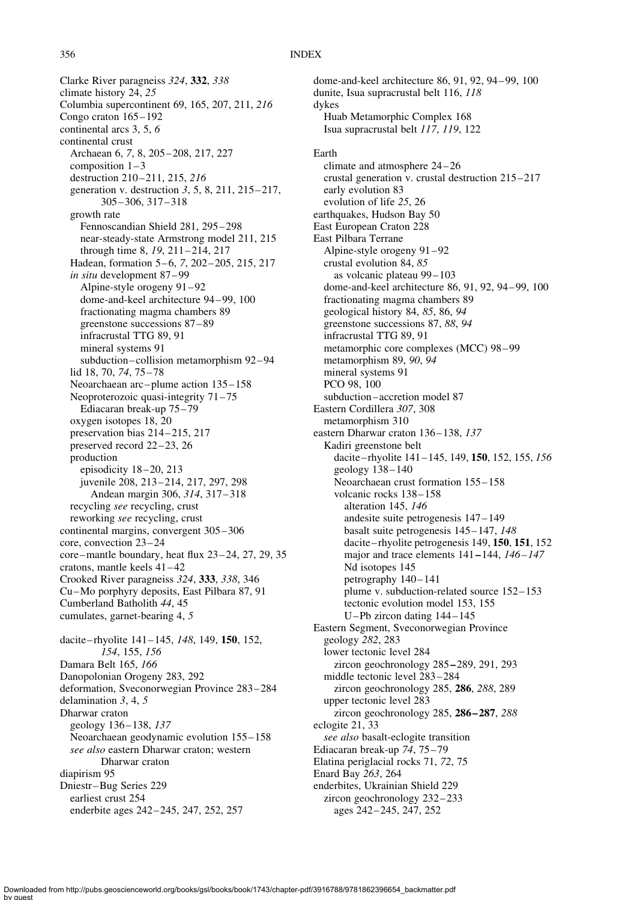#### 356 INDEX

Clarke River paragneiss 324, 332, 338 climate history 24, 25 Columbia supercontinent 69, 165, 207, 211, 216 Congo craton 165– 192 continental arcs 3, 5, 6 continental crust Archaean 6, 7, 8, 205 – 208, 217, 227 composition  $1 - 3$ destruction 210-211, 215, 216 generation v. destruction 3, 5, 8, 211, 215 – 217, 305 – 306, 317 – 318 growth rate Fennoscandian Shield 281, 295 – 298 near-steady-state Armstrong model 211, 215 through time 8, 19, 211-214, 217 Hadean, formation 5-6, 7, 202-205, 215, 217 in situ development 87 – 99 Alpine-style orogeny 91 – 92 dome-and-keel architecture 94 – 99, 100 fractionating magma chambers 89 greenstone successions 87 – 89 infracrustal TTG 89, 91 mineral systems 91 subduction –collision metamorphism 92 – 94 lid 18, 70, 74, 75-78 Neoarchaean arc – plume action 135 – 158 Neoproterozoic quasi-integrity  $71-75$ Ediacaran break-up 75 – 79 oxygen isotopes 18, 20 preservation bias 214-215, 217 preserved record 22 –23, 26 production episodicity  $18 - 20$ ,  $213$ juvenile 208, 213-214, 217, 297, 298 Andean margin 306, 314, 317 – 318 recycling see recycling, crust reworking see recycling, crust continental margins, convergent 305 – 306 core, convection 23 –24 core –mantle boundary, heat flux 23 – 24, 27, 29, 35 cratons, mantle keels 41 – 42 Crooked River paragneiss 324, 333, 338, 346 Cu–Mo porphyry deposits, East Pilbara 87, 91 Cumberland Batholith 44, 45 cumulates, garnet-bearing 4, 5 dacite–rhyolite 141–145, 148, 149, 150, 152, 154, 155, 156 Damara Belt 165, 166 Danopolonian Orogeny 283, 292 deformation, Sveconorwegian Province 283 – 284 delamination 3, 4, 5 Dharwar craton geology 136-138, 137 Neoarchaean geodynamic evolution 155– 158 see also eastern Dharwar craton; western Dharwar craton diapirism 95 Dniestr–Bug Series 229 earliest crust 254 enderbite ages 242 – 245, 247, 252, 257

dome-and-keel architecture 86, 91, 92, 94 – 99, 100 dunite, Isua supracrustal belt 116, 118 dykes Huab Metamorphic Complex 168 Isua supracrustal belt 117, 119, 122 Earth climate and atmosphere 24 – 26 crustal generation v. crustal destruction 215– 217 early evolution 83 evolution of life 25, 26 earthquakes, Hudson Bay 50 East European Craton 228 East Pilbara Terrane Alpine-style orogeny 91 – 92 crustal evolution 84, 85 as volcanic plateau 99 – 103 dome-and-keel architecture 86, 91, 92, 94– 99, 100 fractionating magma chambers 89 geological history 84, 85, 86, 94 greenstone successions 87, 88, 94 infracrustal TTG 89, 91 metamorphic core complexes (MCC) 98 – 99 metamorphism 89, 90, 94 mineral systems 91 PCO 98, 100 subduction –accretion model 87 Eastern Cordillera 307, 308 metamorphism 310 eastern Dharwar craton 136-138, 137 Kadiri greenstone belt dacite-rhyolite 141-145, 149, 150, 152, 155, 156 geology 138 – 140 Neoarchaean crust formation 155 – 158 volcanic rocks 138– 158 alteration 145, 146 andesite suite petrogenesis 147 – 149 basalt suite petrogenesis 145 – 147, 148 dacite – rhyolite petrogenesis 149, 150, 151, 152 major and trace elements  $141-144$ ,  $146-147$ Nd isotopes 145 petrography  $140 - 141$ plume v. subduction-related source 152 – 153 tectonic evolution model 153, 155 U –Pb zircon dating 144 – 145 Eastern Segment, Sveconorwegian Province geology 282, 283 lower tectonic level 284 zircon geochronology 285–289, 291, 293 middle tectonic level 283 – 284 zircon geochronology 285, 286, 288, 289 upper tectonic level 283 zircon geochronology 285, 286-287, 288 eclogite 21, 33 see also basalt-eclogite transition Ediacaran break-up 74, 75 – 79 Elatina periglacial rocks 71, 72, 75 Enard Bay 263, 264 enderbites, Ukrainian Shield 229 zircon geochronology 232 – 233 ages 242 – 245, 247, 252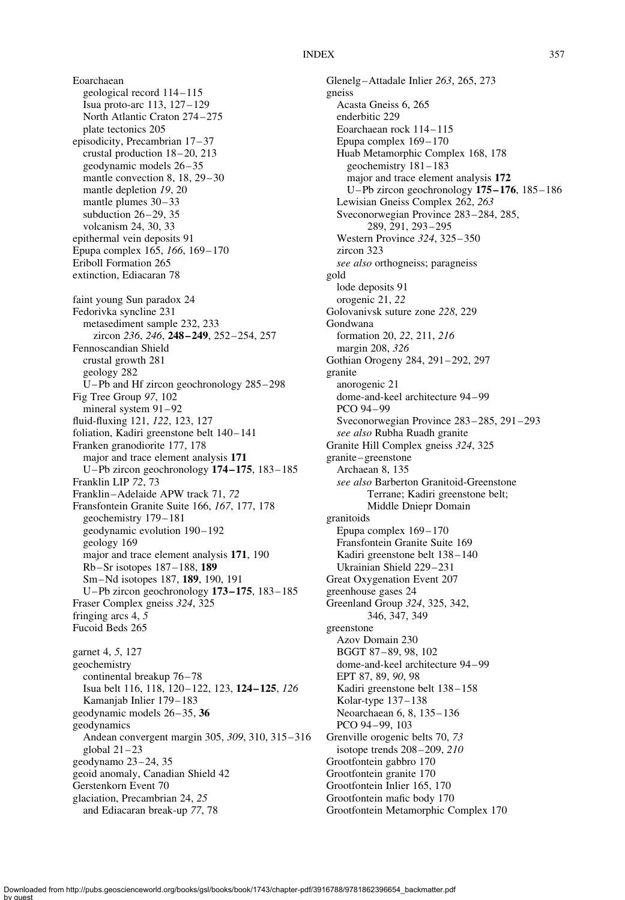#### INDEX 357

Eoarchaean geological record 114– 115 Isua proto-arc 113, 127 – 129 North Atlantic Craton 274 – 275 plate tectonics 205 episodicity, Precambrian 17 – 37 crustal production 18 – 20, 213 geodynamic models 26 – 35 mantle convection 8, 18, 29-30 mantle depletion 19, 20 mantle plumes  $30-33$ subduction  $26 - 29$ , 35 volcanism 24, 30, 33 epithermal vein deposits 91 Epupa complex 165, 166, 169 – 170 Eriboll Formation 265 extinction, Ediacaran 78 faint young Sun paradox 24 Fedorivka syncline 231 metasediment sample 232, 233 zircon 236, 246, 248-249, 252-254, 257 Fennoscandian Shield crustal growth 281 geology 282 U –Pb and Hf zircon geochronology 285 – 298 Fig Tree Group 97, 102 mineral system  $91 - 92$ fluid-fluxing 121, 122, 123, 127 foliation, Kadiri greenstone belt 140-141 Franken granodiorite 177, 178 major and trace element analysis 171 U –Pb zircon geochronology 174 – 175, 183 – 185 Franklin LIP 72, 73 Franklin –Adelaide APW track 71, 72 Fransfontein Granite Suite 166, 167, 177, 178 geochemistry 179 – 181 geodynamic evolution 190– 192 geology 169 major and trace element analysis 171, 190 Rb –Sr isotopes 187 – 188, 189 Sm –Nd isotopes 187, 189, 190, 191 U –Pb zircon geochronology 173 – 175, 183 – 185 Fraser Complex gneiss 324, 325 fringing arcs 4, 5 Fucoid Beds 265 garnet 4, 5, 127 geochemistry continental breakup 76-78 Isua belt 116, 118, 120– 122, 123, 124 – 125, 126 Kamanjab Inlier 179– 183 geodynamic models 26 – 35, 36 geodynamics Andean convergent margin 305, 309, 310, 315 – 316 global  $21 - 23$ geodynamo 23 – 24, 35 geoid anomaly, Canadian Shield 42 Gerstenkorn Event 70 glaciation, Precambrian 24, 25 and Ediacaran break-up 77, 78

Glenelg –Attadale Inlier 263, 265, 273 gneiss Acasta Gneiss 6, 265 enderbitic 229 Eoarchaean rock 114-115 Epupa complex  $169-170$ Huab Metamorphic Complex 168, 178 geochemistry 181 – 183 major and trace element analysis 172 U–Pb zircon geochronology 175 – 176, 185 – 186 Lewisian Gneiss Complex 262, 263 Sveconorwegian Province 283 – 284, 285, 289, 291, 293 – 295 Western Province 324, 325-350 zircon 323 see also orthogneiss; paragneiss gold lode deposits 91 orogenic 21, 22 Golovanivsk suture zone 228, 229 Gondwana formation 20, 22, 211, 216 margin 208, 326 Gothian Orogeny 284, 291 – 292, 297 granite anorogenic 21 dome-and-keel architecture 94 – 99 PCO 94 – 99 Sveconorwegian Province 283 – 285, 291 – 293 see also Rubha Ruadh granite Granite Hill Complex gneiss 324, 325 granite – greenstone Archaean 8, 135 see also Barberton Granitoid-Greenstone Terrane; Kadiri greenstone belt; Middle Dniepr Domain granitoids Epupa complex  $169-170$ Fransfontein Granite Suite 169 Kadiri greenstone belt 138 – 140 Ukrainian Shield 229– 231 Great Oxygenation Event 207 greenhouse gases 24 Greenland Group 324, 325, 342, 346, 347, 349 greenstone Azov Domain 230 BGGT 87 – 89, 98, 102 dome-and-keel architecture 94 – 99 EPT 87, 89, 90, 98 Kadiri greenstone belt 138 – 158 Kolar-type 137– 138 Neoarchaean 6, 8, 135– 136 PCO 94-99, 103 Grenville orogenic belts 70, 73 isotope trends 208 – 209, 210 Grootfontein gabbro 170 Grootfontein granite 170 Grootfontein Inlier 165, 170 Grootfontein mafic body 170 Grootfontein Metamorphic Complex 170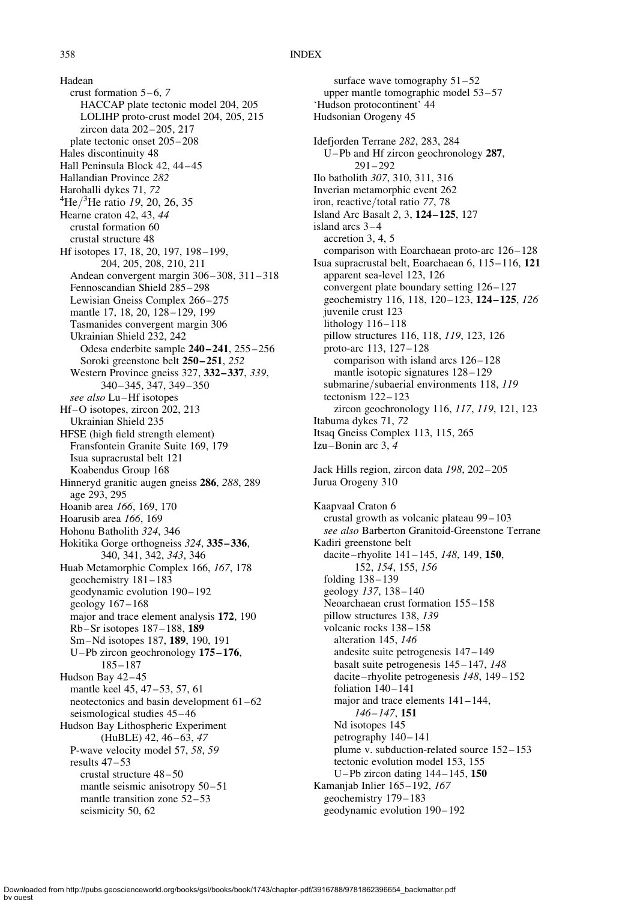Hadean crust formation  $5-6$ , 7 HACCAP plate tectonic model 204, 205 LOLIHP proto-crust model 204, 205, 215 zircon data 202 – 205, 217 plate tectonic onset 205 – 208 Hales discontinuity 48 Hall Peninsula Block 42, 44 – 45 Hallandian Province 282 Harohalli dykes 71, 72 He/<sup>3</sup>He ratio 19, 20, 26, 35 Hearne craton 42, 43, 44 crustal formation 60 crustal structure 48 Hf isotopes 17, 18, 20, 197, 198–199, 204, 205, 208, 210, 211 Andean convergent margin 306 – 308, 311 – 318 Fennoscandian Shield 285– 298 Lewisian Gneiss Complex 266 – 275 mantle 17, 18, 20, 128-129, 199 Tasmanides convergent margin 306 Ukrainian Shield 232, 242 Odesa enderbite sample 240-241, 255-256 Soroki greenstone belt 250-251, 252 Western Province gneiss 327, **332–337**, 339, 340 – 345, 347, 349 – 350 see also Lu–Hf isotopes Hf–O isotopes, zircon 202, 213 Ukrainian Shield 235 HFSE (high field strength element) Fransfontein Granite Suite 169, 179 Isua supracrustal belt 121 Koabendus Group 168 Hinneryd granitic augen gneiss 286, 288, 289 age 293, 295 Hoanib area 166, 169, 170 Hoarusib area 166, 169 Hohonu Batholith 324, 346 Hokitika Gorge orthogneiss 324, 335-336, 340, 341, 342, 343, 346 Huab Metamorphic Complex 166, 167, 178 geochemistry 181 – 183 geodynamic evolution 190 – 192 geology 167 –168 major and trace element analysis 172, 190 Rb –Sr isotopes 187 – 188, 189 Sm –Nd isotopes 187, 189, 190, 191 U–Pb zircon geochronology 175 – 176, 185 – 187 Hudson Bay 42-45 mantle keel 45, 47–53, 57, 61 neotectonics and basin development 61 –62 seismological studies 45 – 46 Hudson Bay Lithospheric Experiment (HuBLE) 42, 46-63, 47 P-wave velocity model 57, 58, 59 results  $47 - 53$ crustal structure 48 – 50 mantle seismic anisotropy 50–51 mantle transition zone 52-53 seismicity 50, 62

surface wave tomography  $51 - 52$ upper mantle tomographic model 53 – 57 'Hudson protocontinent' 44 Hudsonian Orogeny 45 Idefjorden Terrane 282, 283, 284 U –Pb and Hf zircon geochronology 287,  $291 - 292$ Ilo batholith 307, 310, 311, 316 Inverian metamorphic event 262 iron, reactive/total ratio 77, 78 Island Arc Basalt 2, 3, 124 – 125, 127 island arcs  $3-4$ accretion 3, 4, 5 comparison with Eoarchaean proto-arc 126-128 Isua supracrustal belt, Eoarchaean 6, 115– 116, 121 apparent sea-level 123, 126 convergent plate boundary setting  $126 - 127$ geochemistry 116, 118, 120-123, 124-125, 126 juvenile crust 123 lithology 116– 118 pillow structures 116, 118, 119, 123, 126 proto-arc 113, 127– 128 comparison with island arcs  $126 - 128$ mantle isotopic signatures  $128 - 129$ submarine/subaerial environments 118, 119 tectonism 122-123 zircon geochronology 116, 117, 119, 121, 123 Itabuma dykes 71, 72 Itsaq Gneiss Complex 113, 115, 265 Izu-Bonin arc 3, 4 Jack Hills region, zircon data 198, 202-205 Jurua Orogeny 310 Kaapvaal Craton 6 crustal growth as volcanic plateau 99 – 103 see also Barberton Granitoid-Greenstone Terrane Kadiri greenstone belt dacite-rhyolite 141-145, 148, 149, 150, 152, 154, 155, 156 folding 138-139 geology 137, 138-140 Neoarchaean crust formation  $155 - 158$ pillow structures 138, 139 volcanic rocks  $138 - 158$ alteration 145, 146 andesite suite petrogenesis 147 –149 basalt suite petrogenesis 145– 147, 148 dacite-rhyolite petrogenesis 148, 149-152 foliation 140-141

major and trace elements 141–144,

tectonic evolution model 153, 155 U –Pb zircon dating 144 – 145, 150

plume v. subduction-related source  $152 - 153$ 

146– 147, 151 Nd isotopes 145 petrography  $140 - 141$ 

Kamanjab Inlier 165– 192, 167 geochemistry 179– 183 geodynamic evolution 190 – 192

Downloaded from http://pubs.geoscienceworld.org/books/gsl/books/book/1743/chapter-pdf/3916788/9781862396654\_backmatter.pdf by guest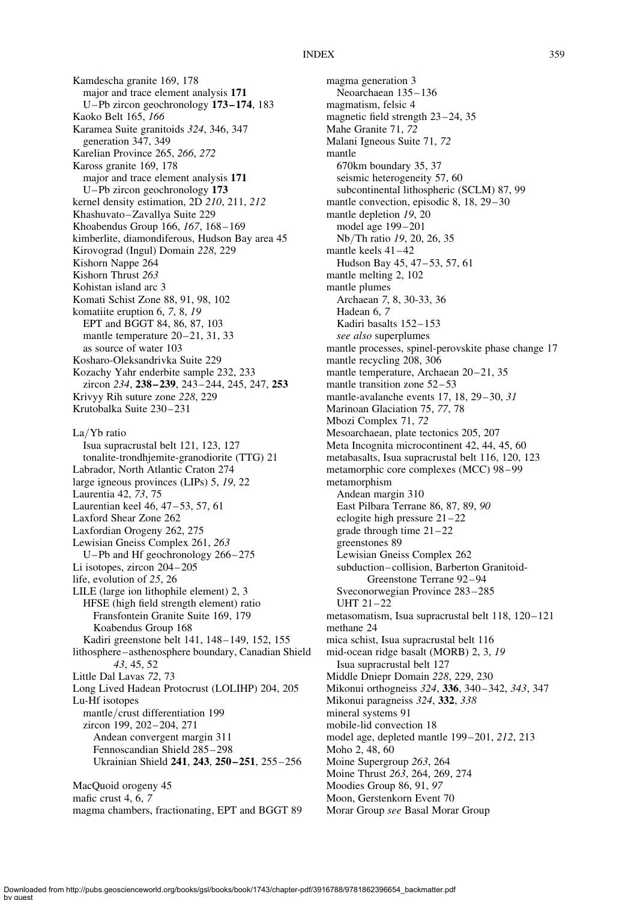Kamdescha granite 169, 178 major and trace element analysis 171 U –Pb zircon geochronology 173 – 174, 183 Kaoko Belt 165, 166 Karamea Suite granitoids 324, 346, 347 generation 347, 349 Karelian Province 265, 266, 272 Kaross granite 169, 178 major and trace element analysis 171 U –Pb zircon geochronology 173 kernel density estimation, 2D 210, 211, 212 Khashuvato–Zavallya Suite 229 Khoabendus Group 166, 167, 168 – 169 kimberlite, diamondiferous, Hudson Bay area 45 Kirovograd (Ingul) Domain 228, 229 Kishorn Nappe 264 Kishorn Thrust 263 Kohistan island arc 3 Komati Schist Zone 88, 91, 98, 102 komatiite eruption 6, 7, 8, 19 EPT and BGGT 84, 86, 87, 103 mantle temperature 20–21, 31, 33 as source of water 103 Kosharo-Oleksandrivka Suite 229 Kozachy Yahr enderbite sample 232, 233 zircon 234, 238-239, 243-244, 245, 247, 253 Krivyy Rih suture zone 228, 229 Krutobalka Suite 230 – 231 La/Yb ratio Isua supracrustal belt 121, 123, 127 tonalite-trondhjemite-granodiorite (TTG) 21 Labrador, North Atlantic Craton 274 large igneous provinces (LIPs) 5, 19, 22 Laurentia 42, 73, 75 Laurentian keel 46, 47–53, 57, 61 Laxford Shear Zone 262 Laxfordian Orogeny 262, 275 Lewisian Gneiss Complex 261, 263 U –Pb and Hf geochronology 266 – 275 Li isotopes, zircon 204–205 life, evolution of 25, 26 LILE (large ion lithophile element) 2, 3 HFSE (high field strength element) ratio Fransfontein Granite Suite 169, 179 Koabendus Group 168 Kadiri greenstone belt 141, 148 –149, 152, 155 lithosphere –asthenosphere boundary, Canadian Shield 43, 45, 52 Little Dal Lavas 72, 73 Long Lived Hadean Protocrust (LOLIHP) 204, 205 Lu-Hf isotopes mantle/crust differentiation 199 zircon 199, 202-204, 271 Andean convergent margin 311 Fennoscandian Shield 285 – 298 Ukrainian Shield 241, 243, 250-251, 255-256 MacQuoid orogeny 45

mafic crust 4, 6, 7 magma chambers, fractionating, EPT and BGGT 89

magma generation 3 Neoarchaean 135 – 136 magmatism, felsic 4 magnetic field strength  $23-24$ , 35 Mahe Granite 71, 72 Malani Igneous Suite 71, 72 mantle 670km boundary 35, 37 seismic heterogeneity 57, 60 subcontinental lithospheric (SCLM) 87, 99 mantle convection, episodic 8, 18, 29–30 mantle depletion 19, 20 model age 199 – 201 Nb/Th ratio 19, 20, 26, 35 mantle keels  $41 - 42$ Hudson Bay 45, 47–53, 57, 61 mantle melting 2, 102 mantle plumes Archaean 7, 8, 30-33, 36 Hadean 6, 7 Kadiri basalts 152– 153 see also superplumes mantle processes, spinel-perovskite phase change 17 mantle recycling 208, 306 mantle temperature, Archaean 20-21, 35 mantle transition zone 52-53 mantle-avalanche events 17, 18, 29-30, 31 Marinoan Glaciation 75, 77, 78 Mbozi Complex 71, 72 Mesoarchaean, plate tectonics 205, 207 Meta Incognita microcontinent 42, 44, 45, 60 metabasalts, Isua supracrustal belt 116, 120, 123 metamorphic core complexes (MCC) 98 – 99 metamorphism Andean margin 310 East Pilbara Terrane 86, 87, 89, 90 eclogite high pressure 21 – 22 grade through time  $21 - 22$ greenstones 89 Lewisian Gneiss Complex 262 subduction–collision, Barberton Granitoid-Greenstone Terrane 92 – 94 Sveconorwegian Province 283 – 285 UHT 21-22 metasomatism, Isua supracrustal belt 118, 120-121 methane 24 mica schist, Isua supracrustal belt 116 mid-ocean ridge basalt (MORB) 2, 3, 19 Isua supracrustal belt 127 Middle Dniepr Domain 228, 229, 230 Mikonui orthogneiss 324, 336, 340-342, 343, 347 Mikonui paragneiss 324, 332, 338 mineral systems 91 mobile-lid convection 18 model age, depleted mantle 199 – 201, 212, 213 Moho 2, 48, 60 Moine Supergroup 263, 264 Moine Thrust 263, 264, 269, 274 Moodies Group 86, 91, 97 Moon, Gerstenkorn Event 70 Morar Group see Basal Morar Group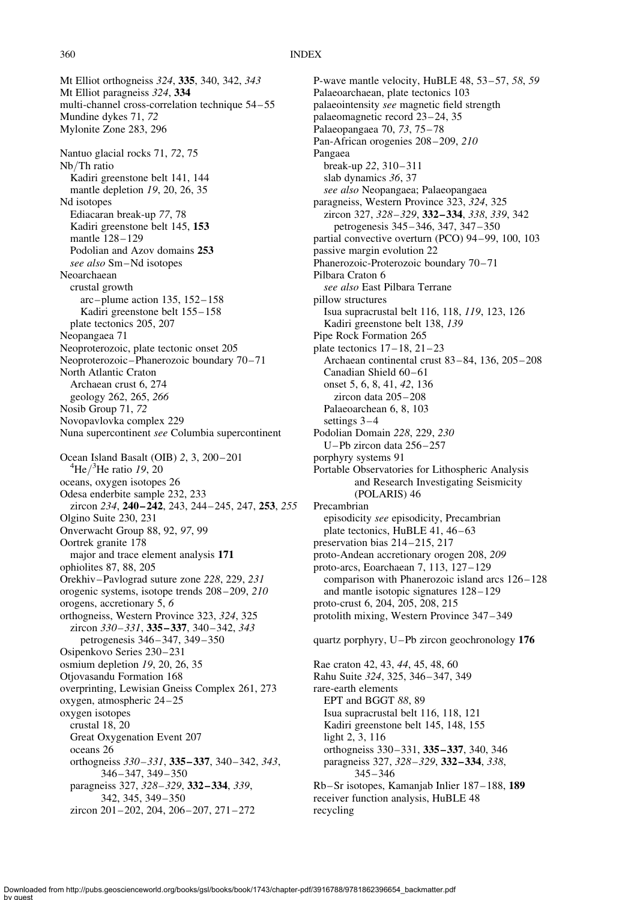#### 360 INDEX

Mt Elliot orthogneiss 324, 335, 340, 342, 343 Mt Elliot paragneiss 324, 334 multi-channel cross-correlation technique 54 – 55 Mundine dykes 71, 72 Mylonite Zone 283, 296 Nantuo glacial rocks 71, 72, 75 Nb/Th ratio Kadiri greenstone belt 141, 144 mantle depletion 19, 20, 26, 35 Nd isotopes Ediacaran break-up 77, 78 Kadiri greenstone belt 145, 153 mantle 128-129 Podolian and Azov domains 253 see also Sm–Nd isotopes Neoarchaean crustal growth arc – plume action 135, 152 – 158 Kadiri greenstone belt 155 – 158 plate tectonics 205, 207 Neopangaea 71 Neoproterozoic, plate tectonic onset 205 Neoproterozoic-Phanerozoic boundary 70-71 North Atlantic Craton Archaean crust 6, 274 geology 262, 265, 266 Nosib Group 71, 72 Novopavlovka complex 229 Nuna supercontinent see Columbia supercontinent Ocean Island Basalt (OIB) 2, 3, 200-201 He $/3$ He ratio 19, 20 oceans, oxygen isotopes 26 Odesa enderbite sample 232, 233 zircon 234, 240-242, 243, 244-245, 247, 253, 255 Olgino Suite 230, 231 Onverwacht Group 88, 92, 97, 99 Oortrek granite 178 major and trace element analysis 171 ophiolites 87, 88, 205 Orekhiv–Pavlograd suture zone 228, 229, 231 orogenic systems, isotope trends 208 –209, 210 orogens, accretionary 5, 6 orthogneiss, Western Province 323, 324, 325 zircon 330-331, 335-337, 340-342, 343 petrogenesis 346 – 347, 349 – 350 Osipenkovo Series 230 – 231 osmium depletion 19, 20, 26, 35 Otjovasandu Formation 168 overprinting, Lewisian Gneiss Complex 261, 273 oxygen, atmospheric 24 – 25 oxygen isotopes crustal 18, 20 Great Oxygenation Event 207 oceans 26 orthogneiss 330 – 331, 335 – 337, 340 – 342, 343, 346 – 347, 349 – 350 paragneiss 327, 328-329, 332-334, 339, 342, 345, 349– 350 zircon 201 – 202, 204, 206 – 207, 271 – 272

P-wave mantle velocity, HuBLE 48, 53-57, 58, 59 Palaeoarchaean, plate tectonics 103 palaeointensity see magnetic field strength palaeomagnetic record 23 – 24, 35 Palaeopangaea 70, 73, 75 – 78 Pan-African orogenies 208-209, 210 Pangaea break-up 22, 310 – 311 slab dynamics 36, 37 see also Neopangaea; Palaeopangaea paragneiss, Western Province 323, 324, 325 zircon 327, 328 –329, 332 –334, 338, 339, 342 petrogenesis 345 – 346, 347, 347– 350 partial convective overturn (PCO) 94-99, 100, 103 passive margin evolution 22 Phanerozoic-Proterozoic boundary 70-71 Pilbara Craton 6 see also East Pilbara Terrane pillow structures Isua supracrustal belt 116, 118, 119, 123, 126 Kadiri greenstone belt 138, 139 Pipe Rock Formation 265 plate tectonics  $17-18$ ,  $21-23$ Archaean continental crust 83 – 84, 136, 205 – 208 Canadian Shield 60-61 onset 5, 6, 8, 41, 42, 136 zircon data 205 – 208 Palaeoarchean 6, 8, 103 settings  $3-4$ Podolian Domain 228, 229, 230 U –Pb zircon data 256 – 257 porphyry systems 91 Portable Observatories for Lithospheric Analysis and Research Investigating Seismicity (POLARIS) 46 Precambrian episodicity see episodicity, Precambrian plate tectonics, HuBLE 41, 46-63 preservation bias 214 – 215, 217 proto-Andean accretionary orogen 208, 209 proto-arcs, Eoarchaean 7, 113, 127– 129 comparison with Phanerozoic island arcs  $126 - 128$ and mantle isotopic signatures 128 – 129 proto-crust 6, 204, 205, 208, 215 protolith mixing, Western Province 347 – 349 quartz porphyry, U –Pb zircon geochronology 176 Rae craton 42, 43, 44, 45, 48, 60 Rahu Suite 324, 325, 346– 347, 349 rare-earth elements EPT and BGGT 88, 89 Isua supracrustal belt 116, 118, 121

Kadiri greenstone belt 145, 148, 155 light 2, 3, 116

orthogneiss 330 – 331, 335 – 337, 340, 346

paragneiss 327, 328-329, 332-334, 338, 345– 346

Rb –Sr isotopes, Kamanjab Inlier 187 – 188, 189 receiver function analysis, HuBLE 48 recycling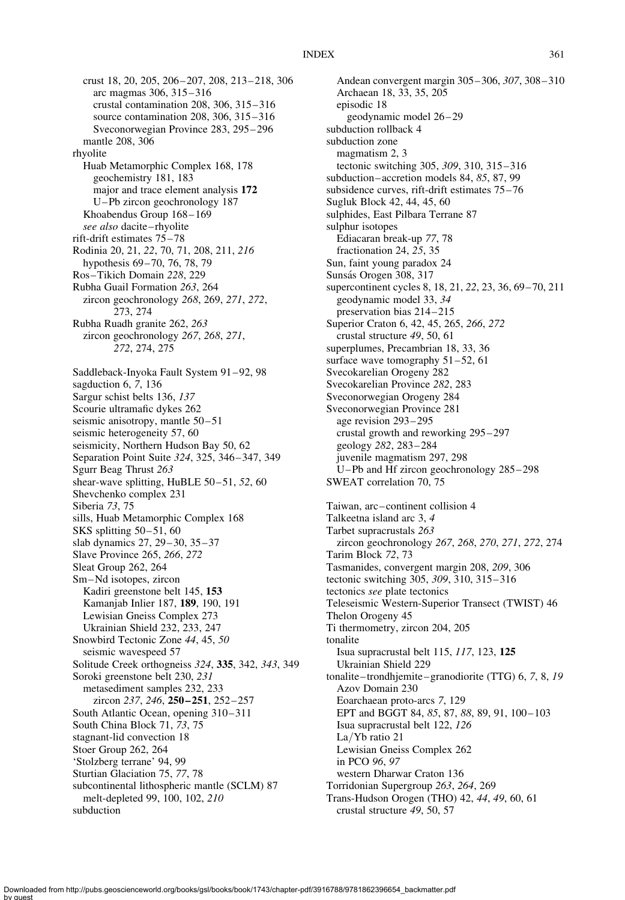crust 18, 20, 205, 206 – 207, 208, 213 – 218, 306 arc magmas 306, 315 –316 crustal contamination 208, 306, 315– 316 source contamination 208, 306, 315 – 316 Sveconorwegian Province 283, 295 – 296 mantle 208, 306 rhyolite Huab Metamorphic Complex 168, 178 geochemistry 181, 183 major and trace element analysis 172 U –Pb zircon geochronology 187 Khoabendus Group 168-169 see also dacite-rhyolite rift-drift estimates 75 – 78 Rodinia 20, 21, 22, 70, 71, 208, 211, 216 hypothesis 69–70, 76, 78, 79 Ros –Tikich Domain 228, 229 Rubha Guail Formation 263, 264 zircon geochronology 268, 269, 271, 272, 273, 274 Rubha Ruadh granite 262, 263 zircon geochronology 267, 268, 271, 272, 274, 275 Saddleback-Inyoka Fault System 91-92, 98 sagduction 6, 7, 136 Sargur schist belts 136, 137 Scourie ultramafic dykes 262 seismic anisotropy, mantle  $50 - 51$ seismic heterogeneity 57, 60 seismicity, Northern Hudson Bay 50, 62 Separation Point Suite 324, 325, 346– 347, 349 Sgurr Beag Thrust 263 shear-wave splitting, HuBLE 50-51, 52, 60 Shevchenko complex 231 Siberia 73, 75 sills, Huab Metamorphic Complex 168 SKS splitting 50-51, 60 slab dynamics 27, 29–30, 35–37 Slave Province 265, 266, 272 Sleat Group 262, 264 Sm –Nd isotopes, zircon Kadiri greenstone belt 145, 153 Kamanjab Inlier 187, 189, 190, 191 Lewisian Gneiss Complex 273 Ukrainian Shield 232, 233, 247 Snowbird Tectonic Zone 44, 45, 50 seismic wavespeed 57 Solitude Creek orthogneiss 324, 335, 342, 343, 349 Soroki greenstone belt 230, 231 metasediment samples 232, 233 zircon 237, 246, 250-251, 252-257 South Atlantic Ocean, opening 310–311 South China Block 71, 73, 75 stagnant-lid convection 18 Stoer Group 262, 264 'Stolzberg terrane' 94, 99 Sturtian Glaciation 75, 77, 78 subcontinental lithospheric mantle (SCLM) 87 melt-depleted 99, 100, 102, 210 subduction

Andean convergent margin 305– 306, 307, 308– 310 Archaean 18, 33, 35, 205 episodic 18 geodynamic model 26 – 29 subduction rollback 4 subduction zone magmatism 2, 3 tectonic switching 305, 309, 310, 315 – 316 subduction –accretion models 84, 85, 87, 99 subsidence curves, rift-drift estimates 75-76 Sugluk Block 42, 44, 45, 60 sulphides, East Pilbara Terrane 87 sulphur isotopes Ediacaran break-up 77, 78 fractionation 24, 25, 35 Sun, faint young paradox 24 Sunsás Orogen 308, 317 supercontinent cycles 8, 18, 21, 22, 23, 36, 69– 70, 211 geodynamic model 33, 34 preservation bias 214–215 Superior Craton 6, 42, 45, 265, 266, 272 crustal structure 49, 50, 61 superplumes, Precambrian 18, 33, 36 surface wave tomography  $51 - 52$ , 61 Svecokarelian Orogeny 282 Svecokarelian Province 282, 283 Sveconorwegian Orogeny 284 Sveconorwegian Province 281 age revision 293– 295 crustal growth and reworking 295 – 297 geology 282, 283 –284 juvenile magmatism 297, 298 U–Pb and Hf zircon geochronology 285– 298 SWEAT correlation 70, 75 Taiwan, arc –continent collision 4 Talkeetna island arc 3, 4 Tarbet supracrustals 263 zircon geochronology 267, 268, 270, 271, 272, 274 Tarim Block 72, 73 Tasmanides, convergent margin 208, 209, 306 tectonic switching 305, 309, 310, 315-316 tectonics see plate tectonics Teleseismic Western-Superior Transect (TWIST) 46 Thelon Orogeny 45 Ti thermometry, zircon 204, 205 tonalite Isua supracrustal belt 115, 117, 123, 125 Ukrainian Shield 229 tonalite –trondhjemite – granodiorite (TTG) 6, 7, 8, 19 Azov Domain 230 Eoarchaean proto-arcs 7, 129 EPT and BGGT 84, 85, 87, 88, 89, 91, 100-103 Isua supracrustal belt 122, 126 La/Yb ratio 21 Lewisian Gneiss Complex 262 in PCO 96, 97 western Dharwar Craton 136 Torridonian Supergroup 263, 264, 269 Trans-Hudson Orogen (THO) 42, 44, 49, 60, 61 crustal structure 49, 50, 57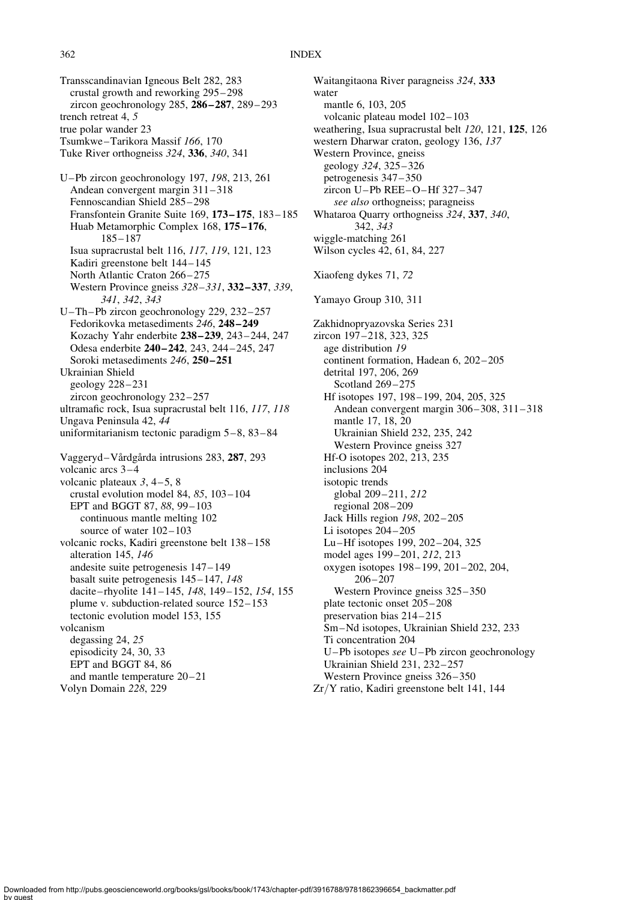Transscandinavian Igneous Belt 282, 283 crustal growth and reworking 295 – 298 zircon geochronology 285, 286 – 287, 289 – 293 trench retreat 4, 5 true polar wander 23 Tsumkwe–Tarikora Massif 166, 170 Tuke River orthogneiss 324, 336, 340, 341 U–Pb zircon geochronology 197, 198, 213, 261 Andean convergent margin 311 – 318 Fennoscandian Shield 285– 298 Fransfontein Granite Suite 169, 173 – 175, 183 – 185 Huab Metamorphic Complex 168, 175 – 176, 185 – 187 Isua supracrustal belt 116, 117, 119, 121, 123 Kadiri greenstone belt 144 – 145 North Atlantic Craton 266-275 Western Province gneiss  $328 - 331$ ,  $332 - 337$ ,  $339$ , 341, 342, 343 U–Th–Pb zircon geochronology 229, 232 – 257 Fedorikovka metasediments 246, 248 – 249 Kozachy Yahr enderbite 238 – 239, 243 – 244, 247 Odesa enderbite 240 – 242, 243, 244 – 245, 247 Soroki metasediments 246, 250-251 Ukrainian Shield geology 228 –231 zircon geochronology 232-257 ultramafic rock, Isua supracrustal belt 116, 117, 118 Ungava Peninsula 42, 44 uniformitarianism tectonic paradigm 5-8, 83-84 Vaggeryd–Vårdgårda intrusions 283, 287, 293 volcanic arcs 3 – 4 volcanic plateaux  $3, 4-5, 8$ crustal evolution model 84, 85, 103 – 104 EPT and BGGT 87, 88, 99-103 continuous mantle melting 102 source of water  $102-103$ volcanic rocks, Kadiri greenstone belt 138 – 158 alteration 145, 146 andesite suite petrogenesis 147 – 149 basalt suite petrogenesis 145 – 147, 148 dacite–rhyolite 141–145, 148, 149–152, 154, 155 plume v. subduction-related source 152– 153 tectonic evolution model 153, 155 volcanism degassing 24, 25 episodicity 24, 30, 33 EPT and BGGT 84, 86 and mantle temperature  $20-21$ Volyn Domain 228, 229

Waitangitaona River paragneiss 324, 333 water mantle 6, 103, 205 volcanic plateau model 102– 103 weathering, Isua supracrustal belt 120, 121, 125, 126 western Dharwar craton, geology 136, 137 Western Province, gneiss geology 324, 325 – 326 petrogenesis 347 – 350 zircon U –Pb REE –O –Hf 327 – 347 see also orthogneiss; paragneiss Whataroa Quarry orthogneiss 324, 337, 340, 342, 343 wiggle-matching 261 Wilson cycles 42, 61, 84, 227 Xiaofeng dykes 71, 72 Yamayo Group 310, 311 Zakhidnopryazovska Series 231 zircon 197 – 218, 323, 325 age distribution 19 continent formation, Hadean 6, 202 – 205 detrital 197, 206, 269 Scotland 269-275 Hf isotopes 197, 198-199, 204, 205, 325 Andean convergent margin 306– 308, 311– 318 mantle 17, 18, 20 Ukrainian Shield 232, 235, 242 Western Province gneiss 327 Hf-O isotopes 202, 213, 235 inclusions 204 isotopic trends global 209– 211, 212 regional 208– 209 Jack Hills region 198, 202 – 205 Li isotopes 204-205 Lu–Hf isotopes 199, 202 – 204, 325 model ages 199 – 201, 212, 213 oxygen isotopes 198 – 199, 201 – 202, 204,  $206 - 207$ Western Province gneiss 325–350 plate tectonic onset 205 – 208 preservation bias 214 – 215 Sm –Nd isotopes, Ukrainian Shield 232, 233 Ti concentration 204 U –Pb isotopes see U –Pb zircon geochronology Ukrainian Shield 231, 232-257 Western Province gneiss  $326 - 350$ Zr/Y ratio, Kadiri greenstone belt 141, 144